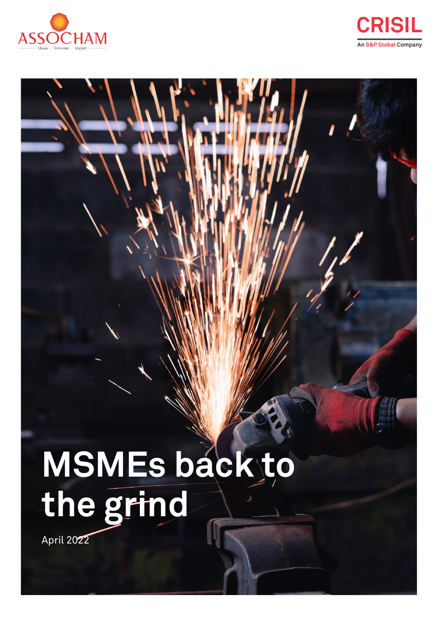



# **MSMEs back to the grind**

April 2022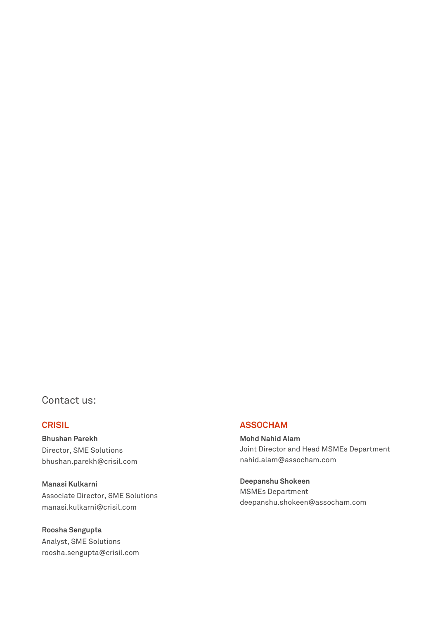## Contact us:

**Bhushan Parekh** Director, SME Solutions bhushan.parekh@crisil.com

**Manasi Kulkarni** Associate Director, SME Solutions manasi.kulkarni@crisil.com

**Roosha Sengupta** Analyst, SME Solutions roosha.sengupta@crisil.com

## **CRISIL ASSOCHAM**

**Mohd Nahid Alam** Joint Director and Head MSMEs Department [nahid.alam@assocham.com](mailto:nahid.alam@assocham.com)

**Deepanshu Shokeen**  MSMEs Department [deepanshu.shokeen@assocham.com](mailto:deepanshu.shokeen@assocham.com)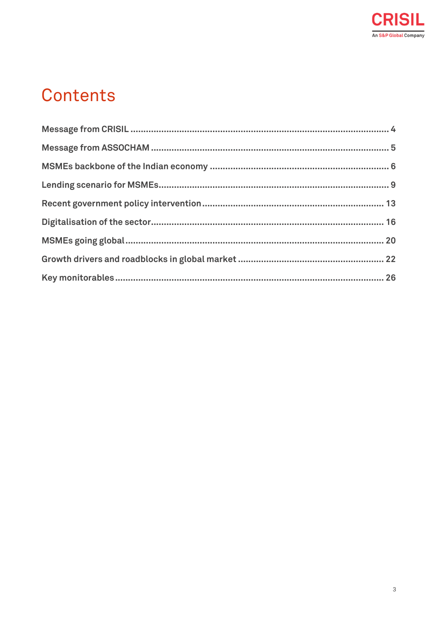

## **Contents**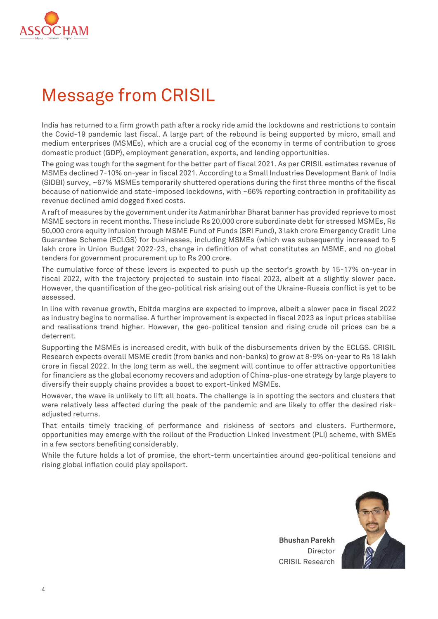

# <span id="page-3-0"></span>Message from CRISIL

India has returned to a firm growth path after a rocky ride amid the lockdowns and restrictions to contain the Covid-19 pandemic last fiscal. A large part of the rebound is being supported by micro, small and medium enterprises (MSMEs), which are a crucial cog of the economy in terms of contribution to gross domestic product (GDP), employment generation, exports, and lending opportunities.

The going was tough for the segment for the better part of fiscal 2021. As per CRISIL estimates revenue of MSMEs declined 7-10% on-year in fiscal 2021. According to a Small Industries Development Bank of India (SIDBI) survey, ~67% MSMEs temporarily shuttered operations during the first three months of the fiscal because of nationwide and state-imposed lockdowns, with ~66% reporting contraction in profitability as revenue declined amid dogged fixed costs.

A raft of measures by the government under its Aatmanirbhar Bharat banner has provided reprieve to most MSME sectors in recent months. These include Rs 20,000 crore subordinate debt for stressed MSMEs, Rs 50,000 crore equity infusion through MSME Fund of Funds (SRI Fund), 3 lakh crore Emergency Credit Line Guarantee Scheme (ECLGS) for businesses, including MSMEs (which was subsequently increased to 5 lakh crore in Union Budget 2022-23, change in definition of what constitutes an MSME, and no global tenders for government procurement up to Rs 200 crore.

The cumulative force of these levers is expected to push up the sector's growth by 15-17% on-year in fiscal 2022, with the trajectory projected to sustain into fiscal 2023, albeit at a slightly slower pace. However, the quantification of the geo-political risk arising out of the Ukraine-Russia conflict is yet to be assessed.

In line with revenue growth, Ebitda margins are expected to improve, albeit a slower pace in fiscal 2022 as industry begins to normalise. A further improvement is expected in fiscal 2023 as input prices stabilise and realisations trend higher. However, the geo-political tension and rising crude oil prices can be a deterrent.

Supporting the MSMEs is increased credit, with bulk of the disbursements driven by the ECLGS. CRISIL Research expects overall MSME credit (from banks and non-banks) to grow at 8-9% on-year to Rs 18 lakh crore in fiscal 2022. In the long term as well, the segment will continue to offer attractive opportunities for financiers as the global economy recovers and adoption of China-plus-one strategy by large players to diversify their supply chains provides a boost to export-linked MSMEs.

However, the wave is unlikely to lift all boats. The challenge is in spotting the sectors and clusters that were relatively less affected during the peak of the pandemic and are likely to offer the desired riskadjusted returns.

That entails timely tracking of performance and riskiness of sectors and clusters. Furthermore, opportunities may emerge with the rollout of the Production Linked Investment (PLI) scheme, with SMEs in a few sectors benefiting considerably.

While the future holds a lot of promise, the short-term uncertainties around geo-political tensions and rising global inflation could play spoilsport.



**Bhushan Parekh** Director CRISIL Research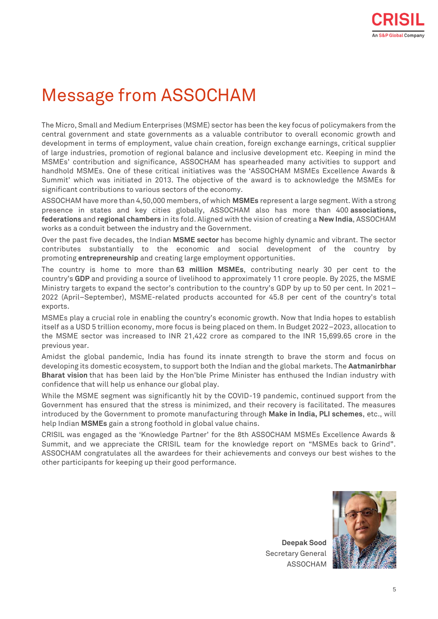# <span id="page-4-0"></span>Message from ASSOCHAM

The Micro, Small and Medium Enterprises (MSME) sector has been the key focus of policymakers from the central government and state governments as a valuable contributor to overall economic growth and development in terms of employment, value chain creation, foreign exchange earnings, critical supplier of large industries, promotion of regional balance and inclusive development etc. Keeping in mind the MSMEs' contribution and significance, ASSOCHAM has spearheaded many activities to support and handhold MSMEs. One of these critical initiatives was the 'ASSOCHAM MSMEs Excellence Awards & Summit' which was initiated in 2013. The objective of the award is to acknowledge the MSMEs for significant contributions to various sectors of the economy.

ASSOCHAM have more than 4,50,000 members, of which **MSMEs** represent a large segment. With a strong presence in states and key cities globally, ASSOCHAM also has more than 400 **associations, federations** and **regional chambers** in its fold. Aligned with the vision of creating a **New India**, ASSOCHAM works as a conduit between the industry and the Government.

Over the past five decades, the Indian **MSME sector** has become highly dynamic and vibrant. The sector contributes substantially to the economic and social development of the country by promoting **entrepreneurship** and creating large employment opportunities.

The country is home to more than **63 million MSMEs**, contributing nearly 30 per cent to the country's **GDP** and providing a source of livelihood to approximately 11 crore people. By 2025, the MSME Ministry targets to expand the sector's contribution to the country's GDP by up to 50 per cent. In 2021– 2022 (April–September), MSME-related products accounted for 45.8 per cent of the country's total exports.

MSMEs play a crucial role in enabling the country's economic growth. Now that India hopes to establish itself as a USD 5 trillion economy, more focus is being placed on them. In Budget 2022–2023, allocation to the MSME sector was increased to INR 21,422 crore as compared to the INR 15,699.65 crore in the previous year.

Amidst the global pandemic, India has found its innate strength to brave the storm and focus on developing its domestic ecosystem, to support both the Indian and the global markets. The **Aatmanirbhar Bharat vision** that has been laid by the Hon'ble Prime Minister has enthused the Indian industry with confidence that will help us enhance our global play.

While the MSME segment was significantly hit by the COVID-19 pandemic, continued support from the Government has ensured that the stress is minimized, and their recovery is facilitated. The measures introduced by the Government to promote manufacturing through **Make in India, PLI schemes**, etc., will help Indian **MSMEs** gain a strong foothold in global value chains.

CRISIL was engaged as the 'Knowledge Partner' for the 8th ASSOCHAM MSMEs Excellence Awards & Summit, and we appreciate the CRISIL team for the knowledge report on "MSMEs back to Grind". ASSOCHAM congratulates all the awardees for their achievements and conveys our best wishes to the other participants for keeping up their good performance.

**Deepak Sood** Secretary General ASSOCHAM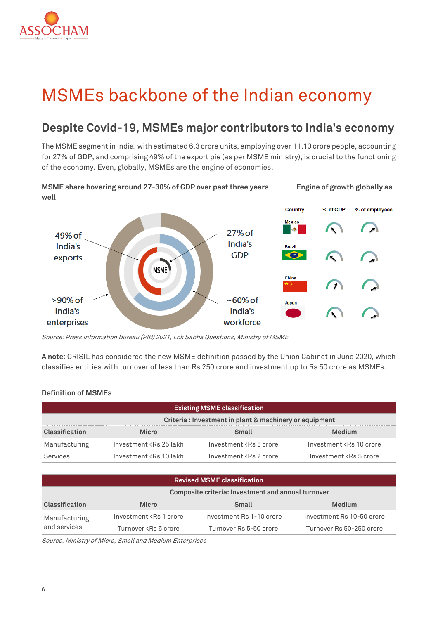

# <span id="page-5-0"></span>MSMEs backbone of the Indian economy

## **Despite Covid-19, MSMEs major contributors to India's economy**

The MSME segment in India, with estimated 6.3 crore units, employing over 11.10 crore people, accounting for 27% of GDP, and comprising 49% of the export pie (as per MSME ministry), is crucial to the functioning of the economy. Even, globally, MSMEs are the engine of economies.



Source: Press Information Bureau (PIB) 2021, Lok Sabha Questions, Ministry of MSME

**A note**: CRISIL has considered the new MSME definition passed by the Union Cabinet in June 2020, which classifies entities with turnover of less than Rs 250 crore and investment up to Rs 50 crore as MSMEs.

## **Definition of MSMEs**

| <b>Existing MSME classification</b>                    |                                                                                                                                                |                                                                                              |                                            |  |  |  |  |
|--------------------------------------------------------|------------------------------------------------------------------------------------------------------------------------------------------------|----------------------------------------------------------------------------------------------|--------------------------------------------|--|--|--|--|
| Criteria: Investment in plant & machinery or equipment |                                                                                                                                                |                                                                                              |                                            |  |  |  |  |
| Classification                                         | <b>Micro</b>                                                                                                                                   | Small                                                                                        | Medium                                     |  |  |  |  |
| Manufacturing                                          | Investment <rs 25="" lakh<="" td=""><td>Investment <rs 5="" crore<="" td=""><td>Investment <rs 10="" crore<="" td=""></rs></td></rs></td></rs> | Investment <rs 5="" crore<="" td=""><td>Investment <rs 10="" crore<="" td=""></rs></td></rs> | Investment <rs 10="" crore<="" td=""></rs> |  |  |  |  |
| Services                                               | Investment <rs 10="" lakh<="" td=""><td>Investment <rs 2="" crore<="" td=""><td>Investment <rs 5="" crore<="" td=""></rs></td></rs></td></rs>  | Investment <rs 2="" crore<="" td=""><td>Investment <rs 5="" crore<="" td=""></rs></td></rs>  | Investment <rs 5="" crore<="" td=""></rs>  |  |  |  |  |

| <b>Revised MSME classification</b>                 |                                                                                                              |                          |                           |  |  |  |  |
|----------------------------------------------------|--------------------------------------------------------------------------------------------------------------|--------------------------|---------------------------|--|--|--|--|
| Composite criteria: Investment and annual turnover |                                                                                                              |                          |                           |  |  |  |  |
| Classification                                     | Micro                                                                                                        | Small                    | Medium                    |  |  |  |  |
| Manufacturing                                      | Investment <rs 1="" crore<="" td=""><td>Investment Rs 1-10 crore</td><td>Investment Rs 10-50 crore</td></rs> | Investment Rs 1-10 crore | Investment Rs 10-50 crore |  |  |  |  |
| and services                                       | Turnover <rs 5="" crore<="" td=""><td>Turnover Rs 5-50 crore</td><td>Turnover Rs 50-250 crore</td></rs>      | Turnover Rs 5-50 crore   | Turnover Rs 50-250 crore  |  |  |  |  |

Source: Ministry of Micro, Small and Medium Enterprises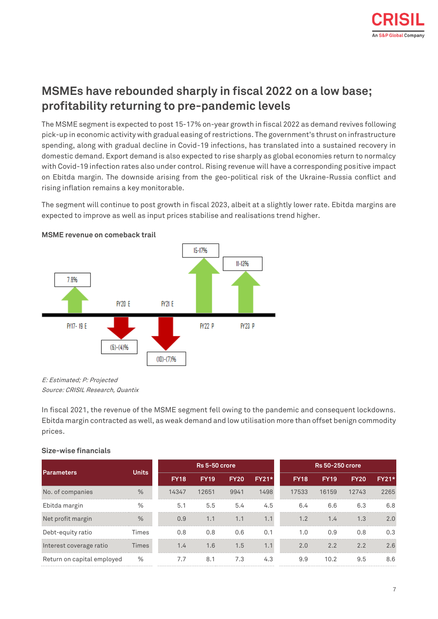## **MSMEs have rebounded sharply in fiscal 2022 on a low base; profitability returning to pre-pandemic levels**

The MSME segment is expected to post 15-17% on-year growth in fiscal 2022 as demand revives following pick-up in economic activity with gradual easing of restrictions. The government's thrust on infrastructure spending, along with gradual decline in Covid-19 infections, has translated into a sustained recovery in domestic demand. Export demand is also expected to rise sharply as global economies return to normalcy with Covid-19 infection rates also under control. Rising revenue will have a corresponding positive impact on Ebitda margin. The downside arising from the geo-political risk of the Ukraine-Russia conflict and rising inflation remains a key monitorable.

The segment will continue to post growth in fiscal 2023, albeit at a slightly lower rate. Ebitda margins are expected to improve as well as input prices stabilise and realisations trend higher.



**MSME revenue on comeback trail** 

E: Estimated; P: Projected Source: CRISIL Research, Quantix

In fiscal 2021, the revenue of the MSME segment fell owing to the pandemic and consequent lockdowns. Ebitda margin contracted as well, as weak demand and low utilisation more than offset benign commodity prices.

|                            |              | Rs 5-50 crore |             |             |              | <b>Rs 50-250 crore</b> |             |             |              |
|----------------------------|--------------|---------------|-------------|-------------|--------------|------------------------|-------------|-------------|--------------|
| <b>Parameters</b>          | <b>Units</b> |               |             |             |              |                        |             |             | <b>FY21*</b> |
|                            |              | <b>FY18</b>   | <b>FY19</b> | <b>FY20</b> | <b>FY21*</b> | <b>FY18</b>            | <b>FY19</b> | <b>FY20</b> |              |
| No. of companies           | $\%$         | 14347         | 12651       | 9941        | 1498         | 17533                  | 16159       | 12743       | 2265         |
| Ebitda margin              | $\%$         | 5.1           | 5.5         | 5.4         | 4.5          | 6.4                    | 6.6         | 6.3         | 6.8          |
| Net profit margin          | %            | 0.9           | 1.1         | 1.1         | 1.1          | 1.2                    | 1.4         | 1.3         | 2.0          |
| Debt-equity ratio          | <b>Times</b> | 0.8           | 0.8         | 0.6         | 0.1          | 1.0                    | 0.9         | 0.8         | 0.3          |
| Interest coverage ratio    | <b>Times</b> | 1.4           | 1.6         | 1.5         | 1.1          | 2.0                    | 2.2         | 2.2         | 2.6          |
| Return on capital employed | %            | 7.7           | 8.1         | 7.3         | 4.3          | 9.9                    | 10.2        | 9.5         | 8.6          |

## **Size-wise financials**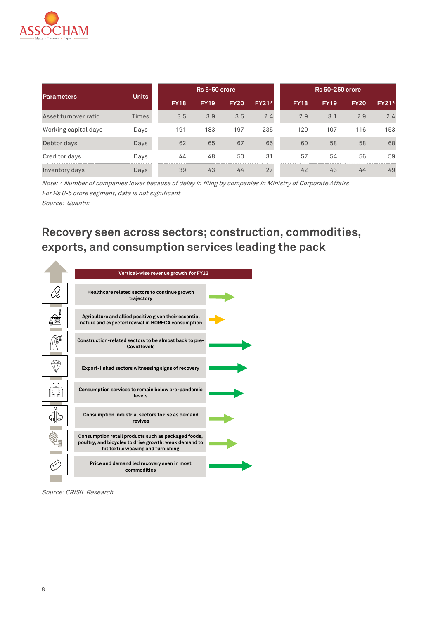

| <b>Parameters</b>    | <b>Units</b> | Rs 5-50 crore |             |             |              | Rs 50-250 crore |             |             |              |
|----------------------|--------------|---------------|-------------|-------------|--------------|-----------------|-------------|-------------|--------------|
|                      |              | <b>FY18</b>   | <b>FY19</b> | <b>FY20</b> | <b>FY21*</b> | <b>FY18</b>     | <b>FY19</b> | <b>FY20</b> | <b>FY21*</b> |
| Asset turnover ratio | <b>Times</b> | 3.5           | 3.9         | 3.5         | 2.4          | 2.9             | 3.1         | 2.9         | 2.4          |
| Working capital days | Days         | 191           | 183         | 197         | 235          | 120             | 107         | 116         | 153          |
| Debtor days          | Days         | 62            | 65          | 67          | 65           | 60              | 58          | 58          | 68           |
| Creditor days        | Days         | 44            | 48          | 50          | 31           | 57              | 54          | 56          | 59           |
| Inventory days       | Days         | 39            | 43          | 44          | 27           | 42              | 43          | 44          | 49           |

Note: \* Number of companies lower because of delay in filing by companies in Ministry of Corporate Affairs For Rs 0-5 crore segment, data is not significant Source: Quantix

**Recovery seen across sectors; construction, commodities, exports, and consumption services leading the pack**



Source: CRISIL Research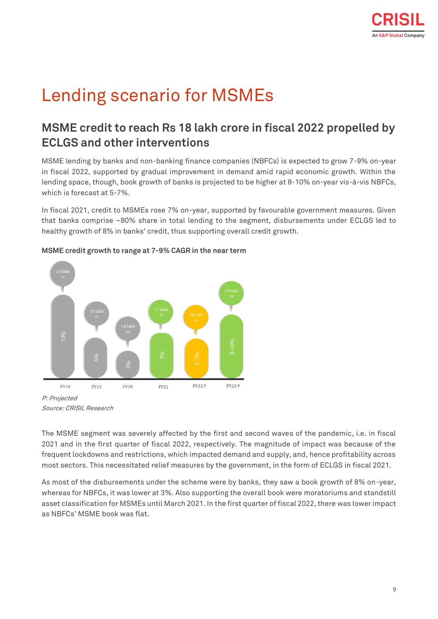# <span id="page-8-0"></span>Lending scenario for MSMEs

## **MSME credit to reach Rs 18 lakh crore in fiscal 2022 propelled by ECLGS and other interventions**

MSME lending by banks and non-banking finance companies (NBFCs) is expected to grow 7-9% on-year in fiscal 2022, supported by gradual improvement in demand amid rapid economic growth. Within the lending space, though, book growth of banks is projected to be higher at 8-10% on-year vis-à-vis NBFCs, which is forecast at 5-7%.

In fiscal 2021, credit to MSMEs rose 7% on-year, supported by favourable government measures. Given that banks comprise ~80% share in total lending to the segment, disbursements under ECLGS led to healthy growth of 8% in banks' credit, thus supporting overall credit growth.



## **MSME credit growth to range at 7-9% CAGR in the near term**

Source: CRISIL Research

The MSME segment was severely affected by the first and second waves of the pandemic, i.e. in fiscal 2021 and in the first quarter of fiscal 2022, respectively. The magnitude of impact was because of the frequent lockdowns and restrictions, which impacted demand and supply, and, hence profitability across most sectors. This necessitated relief measures by the government, in the form of ECLGS in fiscal 2021.

As most of the disbursements under the scheme were by banks, they saw a book growth of 8% on-year, whereas for NBFCs, it was lower at 3%. Also supporting the overall book were moratoriums and standstill asset classification for MSMEs until March 2021. In the first quarter of fiscal 2022, there was lower impact as NBFCs' MSME book was flat.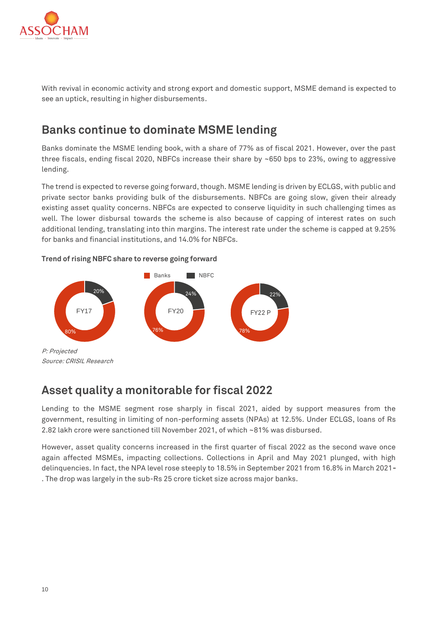

With revival in economic activity and strong export and domestic support, MSME demand is expected to see an uptick, resulting in higher disbursements.

## **Banks continue to dominate MSME lending**

Banks dominate the MSME lending book, with a share of 77% as of fiscal 2021. However, over the past three fiscals, ending fiscal 2020, NBFCs increase their share by  $~650$  bps to 23%, owing to aggressive lending.

The trend is expected to reverse going forward, though. MSME lending is driven by ECLGS, with public and private sector banks providing bulk of the disbursements. NBFCs are going slow, given their already existing asset quality concerns. NBFCs are expected to conserve liquidity in such challenging times as well. The lower disbursal towards the scheme is also because of capping of interest rates on such additional lending, translating into thin margins. The interest rate under the scheme is capped at 9.25% for banks and financial institutions, and 14.0% for NBFCs.

## **Trend of rising NBFC share to reverse going forward**



## **Asset quality a monitorable for fiscal 2022**

Lending to the MSME segment rose sharply in fiscal 2021, aided by support measures from the government, resulting in limiting of non-performing assets (NPAs) at 12.5%. Under ECLGS, loans of Rs 2.82 lakh crore were sanctioned till November 2021, of which ~81% was disbursed.

However, asset quality concerns increased in the first quarter of fiscal 2022 as the second wave once again affected MSMEs, impacting collections. Collections in April and May 2021 plunged, with high delinquencies. In fact, the NPA level rose steeply to 18.5% in September 2021 from 16.8% in March 2021**-** . The drop was largely in the sub-Rs 25 crore ticket size across major banks.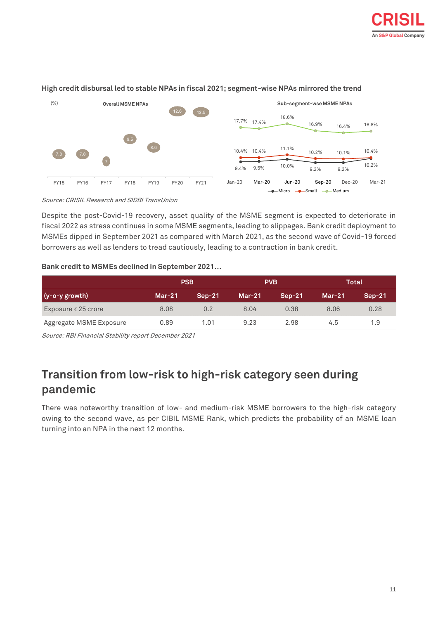

## **High credit disbursal led to stable NPAs in fiscal 2021; segment-wise NPAs mirrored the trend**

Source: CRISIL Research and SIDBI TransUnion

Despite the post-Covid-19 recovery, asset quality of the MSME segment is expected to deteriorate in fiscal 2022 as stress continues in some MSME segments, leading to slippages. Bank credit deployment to MSMEs dipped in September 2021 as compared with March 2021, as the second wave of Covid-19 forced borrowers as well as lenders to tread cautiously, leading to a contraction in bank credit.

## **Bank credit to MSMEs declined in September 2021…**

|                             |          | <b>PSB</b> |      | <b>PVB</b> | Total    |          |
|-----------------------------|----------|------------|------|------------|----------|----------|
| $(y-o-y)$ growth)           | $Mar-21$ | $Sep-21$   |      | $Sen-21$   | $Mar-21$ | $Sep-21$ |
| Exposure $\langle 25$ crore | 8.08     | 0.2        | 8.04 | 0.38       | 8.06     | 0.28     |
| Aggregate MSME Exposure     | 0.89     | 1.01       | 9.23 | 2.98       | 4.5      | 1.9      |

Source: RBI Financial Stability report December 2021

## **Transition from low-risk to high-risk category seen during pandemic**

There was noteworthy transition of low- and medium-risk MSME borrowers to the high-risk category owing to the second wave, as per CIBIL MSME Rank, which predicts the probability of an MSME loan turning into an NPA in the next 12 months.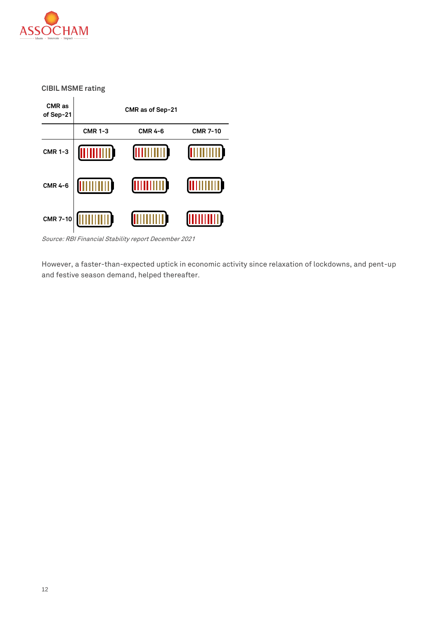

**CIBIL MSME rating**

**CMR as CMR as of Sep-21of Sep-21 CMR 1-3 CMR 4-6 CMR 7-10 CMR 1-3 THULLER TIME A THE EXECUTE MUILLIN CMR 4-6** (IIIIIII **CMR 7-10**

Source: RBI Financial Stability report December 2021

However, a faster-than-expected uptick in economic activity since relaxation of lockdowns, and pent-up and festive season demand, helped thereafter.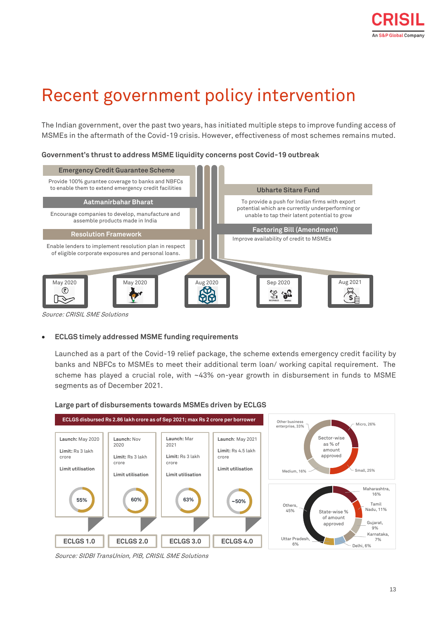# <span id="page-12-0"></span>Recent government policy intervention

The Indian government, over the past two years, has initiated multiple steps to improve funding access of MSMEs in the aftermath of the Covid-19 crisis. However, effectiveness of most schemes remains muted.

## **Government's thrust to address MSME liquidity concerns post Covid-19 outbreak**



Source: CRISIL SME Solutions

## • **ECLGS timely addressed MSME funding requirements**

Launched as a part of the Covid-19 relief package, the scheme extends emergency credit facility by banks and NBFCs to MSMEs to meet their additional term loan/ working capital requirement. The scheme has played a crucial role, with ~43% on-year growth in disbursement in funds to MSME segments as of December 2021.



#### **Large part of disbursements towards MSMEs driven by ECLGS**

Source: SIDBI TransUnion, PIB, CRISIL SME Solutions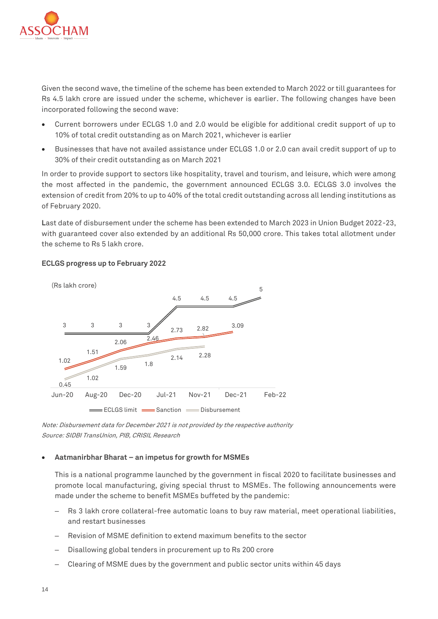

Given the second wave, the timeline of the scheme has been extended to March 2022 or till guarantees for Rs 4.5 lakh crore are issued under the scheme, whichever is earlier. The following changes have been incorporated following the second wave:

- Current borrowers under ECLGS 1.0 and 2.0 would be eligible for additional credit support of up to 10% of total credit outstanding as on March 2021, whichever is earlier
- Businesses that have not availed assistance under ECLGS 1.0 or 2.0 can avail credit support of up to 30% of their credit outstanding as on March 2021

In order to provide support to sectors like hospitality, travel and tourism, and leisure, which were among the most affected in the pandemic, the government announced ECLGS 3.0. ECLGS 3.0 involves the extension of credit from 20% to up to 40% of the total credit outstanding across all lending institutions as of February 2020.

**L**ast date of disbursement under the scheme has been extended to March 2023 in Union Budget 2022-23, with guaranteed cover also extended by an additional Rs 50,000 crore. This takes total allotment under the scheme to Rs 5 lakh crore.



## **ECLGS progress up to February 2022**

Note: Disbursement data for December 2021 is not provided by the respective authority Source: SIDBI TransUnion, PIB, CRISIL Research

## • **Aatmanirbhar Bharat – an impetus for growth for MSMEs**

This is a national programme launched by the government in fiscal 2020 to facilitate businesses and promote local manufacturing, giving special thrust to MSMEs. The following announcements were made under the scheme to benefit MSMEs buffeted by the pandemic:

- ‒ Rs 3 lakh crore collateral-free automatic loans to buy raw material, meet operational liabilities, and restart businesses
- ‒ Revision of MSME definition to extend maximum benefits to the sector
- ‒ Disallowing global tenders in procurement up to Rs 200 crore
- ‒ Clearing of MSME dues by the government and public sector units within 45 days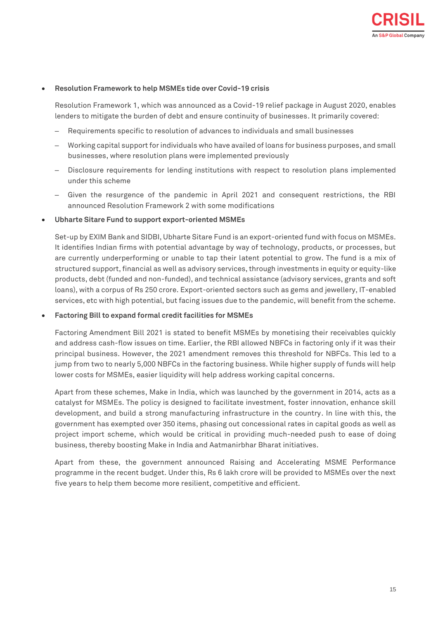

#### • **Resolution Framework to help MSMEs tide over Covid-19 crisis**

Resolution Framework 1, which was announced as a Covid-19 relief package in August 2020, enables lenders to mitigate the burden of debt and ensure continuity of businesses. It primarily covered:

- ‒ Requirements specific to resolution of advances to individuals and small businesses
- ‒ Working capital support for individuals who have availed of loans for business purposes, and small businesses, where resolution plans were implemented previously
- ‒ Disclosure requirements for lending institutions with respect to resolution plans implemented under this scheme
- ‒ Given the resurgence of the pandemic in April 2021 and consequent restrictions, the RBI announced Resolution Framework 2 with some modifications

#### • **Ubharte Sitare Fund to support export-oriented MSMEs**

Set-up by EXIM Bank and SIDBI, Ubharte Sitare Fund is an export-oriented fund with focus on MSMEs. It identifies Indian firms with potential advantage by way of technology, products, or processes, but are currently underperforming or unable to tap their latent potential to grow. The fund is a mix of structured support, financial as well as advisory services, through investments in equity or equity-like products, debt (funded and non-funded), and technical assistance (advisory services, grants and soft loans), with a corpus of Rs 250 crore. Export-oriented sectors such as gems and jewellery, IT-enabled services, etc with high potential, but facing issues due to the pandemic, will benefit from the scheme.

#### • **Factoring Bill to expand formal credit facilities for MSMEs**

Factoring Amendment Bill 2021 is stated to benefit MSMEs by monetising their receivables quickly and address cash-flow issues on time. Earlier, the RBI allowed NBFCs in factoring only if it was their principal business. However, the 2021 amendment removes this threshold for NBFCs. This led to a jump from two to nearly 5,000 NBFCs in the factoring business. While higher supply of funds will help lower costs for MSMEs, easier liquidity will help address working capital concerns.

Apart from these schemes, Make in India, which was launched by the government in 2014, acts as a catalyst for MSMEs. The policy is designed to facilitate investment, foster innovation, enhance skill development, and build a strong manufacturing infrastructure in the country. In line with this, the government has exempted over 350 items, phasing out concessional rates in capital goods as well as project import scheme, which would be critical in providing much-needed push to ease of doing business, thereby boosting Make in India and Aatmanirbhar Bharat initiatives.

Apart from these, the government announced Raising and Accelerating MSME Performance programme in the recent budget. Under this, Rs 6 lakh crore will be provided to MSMEs over the next five years to help them become more resilient, competitive and efficient.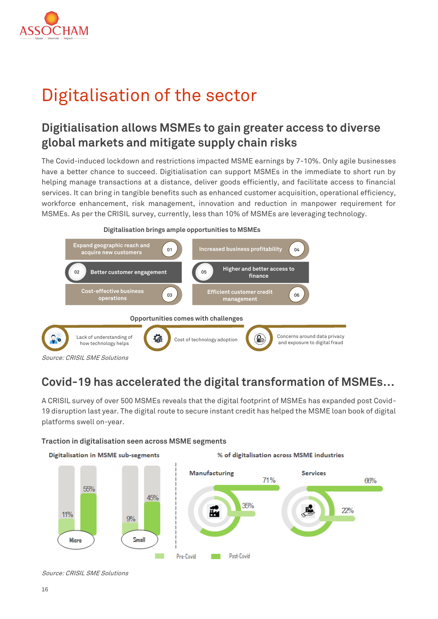

# <span id="page-15-0"></span>Digitalisation of the sector

## **Digitialisation allows MSMEs to gain greater access to diverse global markets and mitigate supply chain risks**

The Covid-induced lockdown and restrictions impacted MSME earnings by 7-10%. Only agile businesses have a better chance to succeed. Digitialisation can support MSMEs in the immediate to short run by helping manage transactions at a distance, deliver goods efficiently, and facilitate access to financial services. It can bring in tangible benefits such as enhanced customer acquisition, operational efficiency, workforce enhancement, risk management, innovation and reduction in manpower requirement for MSMEs. As per the CRISIL survey, currently, less than 10% of MSMEs are leveraging technology.



## **Covid-19 has accelerated the digital transformation of MSMEs…**

A CRISIL survey of over 500 MSMEs reveals that the digital footprint of MSMEs has expanded post Covid-19 disruption last year. The digital route to secure instant credit has helped the MSME loan book of digital platforms swell on-year.

## **Traction in digitalisation seen across MSME segments**



Source: CRISIL SME Solutions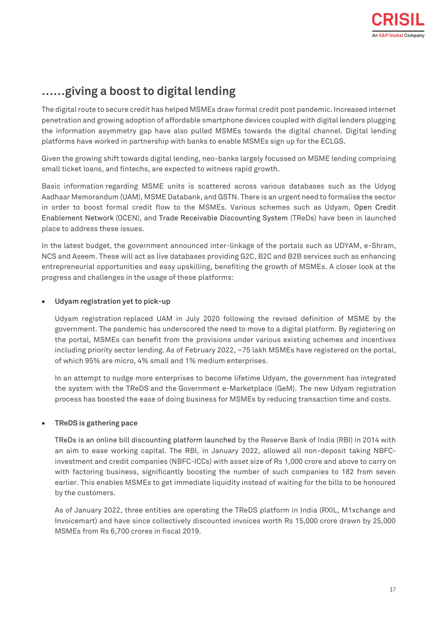## **……giving a boost to digital lending**

The digital route to secure credit has helped MSMEs draw formal credit post pandemic. Increased internet penetration and growing adoption of affordable smartphone devices coupled with digital lenders plugging the information asymmetry gap have also pulled MSMEs towards the digital channel. Digital lending platforms have worked in partnership with banks to enable MSMEs sign up for the ECLGS.

Given the growing shift towards digital lending, neo-banks largely focussed on MSME lending comprising small ticket loans, and fintechs, are expected to witness rapid growth.

Basic information regarding MSME units is scattered across various databases such as the Udyog Aadhaar Memorandum (UAM), MSME Databank, and GSTN. There is an urgent need to formalise the sector in order to boost formal credit flow to the MSMEs. Various schemes such as Udyam, Open Credit Enablement Network (OCEN), and Trade Receivable Discounting System (TReDs) have been in launched place to address these issues.

In the latest budget, the government announced inter-linkage of the portals such as UDYAM, e-Shram, NCS and Aseem. These will act as live databases providing G2C, B2C and B2B services such as enhancing entrepreneurial opportunities and easy upskilling, benefiting the growth of MSMEs. A closer look at the progress and challenges in the usage of these platforms:

## • **Udyam registration yet to pick-up**

Udyam registration replaced UAM in July 2020 following the revised definition of MSME by the government. The pandemic has underscored the need to move to a digital platform. By registering on the portal, MSMEs can benefit from the provisions under various existing schemes and incentives including priority sector lending. As of February 2022, ~75 lakh MSMEs have registered on the portal, of which 95% are micro, 4% small and 1% medium enterprises.

In an attempt to nudge more enterprises to become lifetime Udyam, the government has integrated the system with the TReDS and the Government e-Marketplace (GeM). The new Udyam registration process has boosted the ease of doing business for MSMEs by reducing transaction time and costs.

## • **TReDS is gathering pace**

TReDs is an online bill discounting platform launched by the Reserve Bank of India (RBI) in 2014 with an aim to ease working capital. The RBI, in January 2022, allowed all non-deposit taking NBFCinvestment and credit companies (NBFC-ICCs) with asset size of Rs 1,000 crore and above to carry on with factoring business, significantly boosting the number of such companies to 182 from seven earlier. This enables MSMEs to get immediate liquidity instead of waiting for the bills to be honoured by the customers.

As of January 2022, three entities are operating the TReDS platform in India (RXIL, M1xchange and Invoicemart) and have since collectively discounted invoices worth Rs 15,000 crore drawn by 25,000 MSMEs from Rs 6,700 crores in fiscal 2019.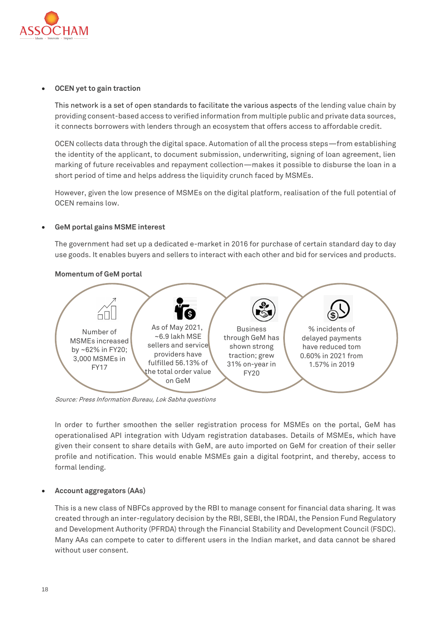

## • **OCEN yet to gain traction**

This network is a set of open standards to facilitate the various aspects of the lending value chain by providing consent-based access to verified information from multiple public and private data sources, it connects borrowers with lenders through an ecosystem that offers access to affordable credit.

OCEN collects data through the digital space. Automation of all the process steps—from establishing the identity of the applicant, to document submission, underwriting, signing of loan agreement, lien marking of future receivables and repayment collection—makes it possible to disburse the loan in a short period of time and helps address the liquidity crunch faced by MSMEs.

However, given the low presence of MSMEs on the digital platform, realisation of the full potential of OCEN remains low.

## • **GeM portal gains MSME interest**

The government had set up a dedicated e-market in 2016 for purchase of certain standard day to day use goods. It enables buyers and sellers to interact with each other and bid for services and products.



## **Momentum of GeM portal**

Source: Press Information Bureau, Lok Sabha questions

In order to further smoothen the seller registration process for MSMEs on the portal, GeM has operationalised API integration with Udyam registration databases. Details of MSMEs, which have given their consent to share details with GeM, are auto imported on GeM for creation of their seller profile and notification. This would enable MSMEs gain a digital footprint, and thereby, access to formal lending.

## • **Account aggregators (AAs)**

This is a new class of NBFCs approved by the RBI to manage consent for financial data sharing. It was created through an inter-regulatory decision by the RBI, SEBI, the IRDAI, the Pension Fund Regulatory and Development Authority (PFRDA) through the Financial Stability and Development Council (FSDC). Many AAs can compete to cater to different users in the Indian market, and data cannot be shared without user consent.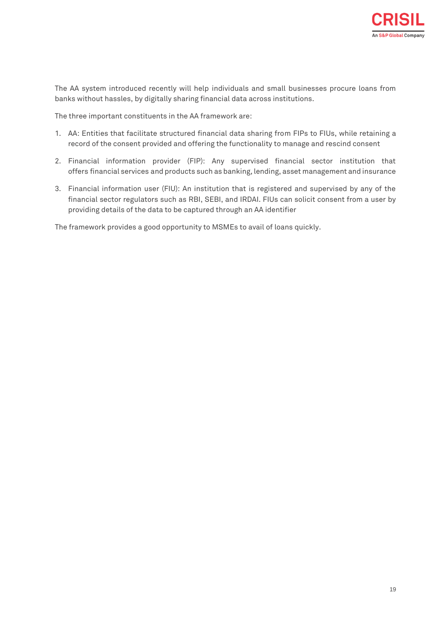

The AA system introduced recently will help individuals and small businesses procure loans from banks without hassles, by digitally sharing financial data across institutions.

The three important constituents in the AA framework are:

- 1. AA: Entities that facilitate structured financial data sharing from FIPs to FIUs, while retaining a record of the consent provided and offering the functionality to manage and rescind consent
- 2. Financial information provider (FIP): Any supervised financial sector institution that offers [financial services](https://www.pwc.in/consulting/financial-services.html) and products such as banking, lending, asset management and insurance
- 3. Financial information user (FIU): An institution that is registered and supervised by any of the financial sector regulators such as RBI, SEBI, and IRDAI. FIUs can solicit consent from a user by providing details of the data to be captured through an AA identifier

The framework provides a good opportunity to MSMEs to avail of loans quickly.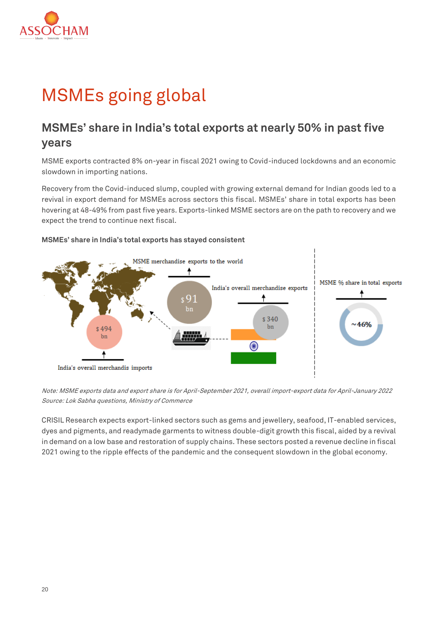

# <span id="page-19-0"></span>MSMEs going global

## **MSMEs' share in India's total exports at nearly 50% in past five years**

MSME exports contracted 8% on-year in fiscal 2021 owing to Covid-induced lockdowns and an economic slowdown in importing nations.

Recovery from the Covid-induced slump, coupled with growing external demand for Indian goods led to a revival in export demand for MSMEs across sectors this fiscal. MSMEs' share in total exports has been hovering at 48-49% from past five years. Exports-linked MSME sectors are on the path to recovery and we expect the trend to continue next fiscal.



## **MSMEs' share in India's total exports has stayed consistent**

Note: MSME exports data and export share is for April-September 2021, overall import-export data for April-January 2022 Source: Lok Sabha questions, Ministry of Commerce

CRISIL Research expects export-linked sectors such as gems and jewellery, seafood, IT-enabled services, dyes and pigments, and readymade garments to witness double-digit growth this fiscal, aided by a revival in demand on a low base and restoration of supply chains. These sectors posted a revenue decline in fiscal 2021 owing to the ripple effects of the pandemic and the consequent slowdown in the global economy.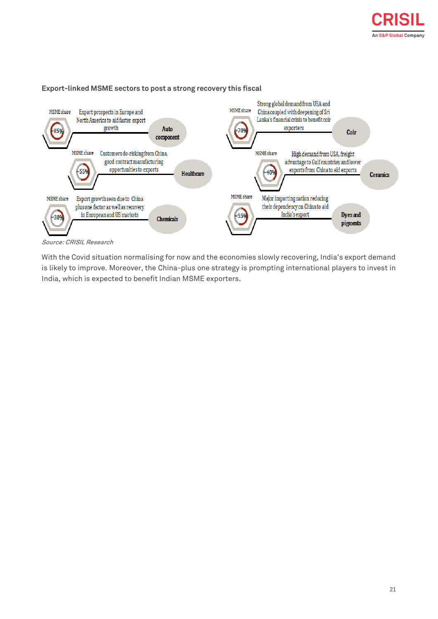



#### **Export-linked MSME sectors to post a strong recovery this fiscal**

With the Covid situation normalising for now and the economies slowly recovering, India's export demand is likely to improve. Moreover, the China-plus one strategy is prompting international players to invest in India, which is expected to benefit Indian MSME exporters.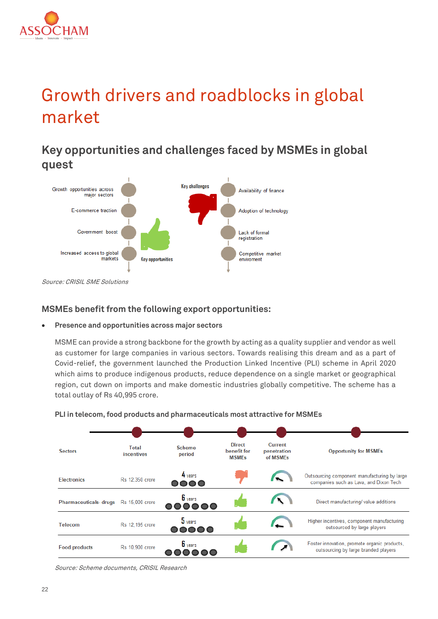

# <span id="page-21-0"></span>Growth drivers and roadblocks in global market

**Key opportunities and challenges faced by MSMEs in global quest**



Source: CRISIL SME Solutions

## **MSMEs benefit from the following export opportunities:**

• **Presence and opportunities across major sectors**

MSME can provide a strong backbone for the growth by acting as a quality supplier and vendor as well as customer for large companies in various sectors. Towards realising this dream and as a part of Covid-relief, the government launched the Production Linked Incentive (PLI) scheme in April 2020 which aims to produce indigenous products, reduce dependence on a single market or geographical region, cut down on imports and make domestic industries globally competitive. The scheme has a total outlay of Rs 40,995 crore.



## **PLI in telecom, food products and pharmaceuticals most attractive for MSMEs**

Source: Scheme documents, CRISIL Research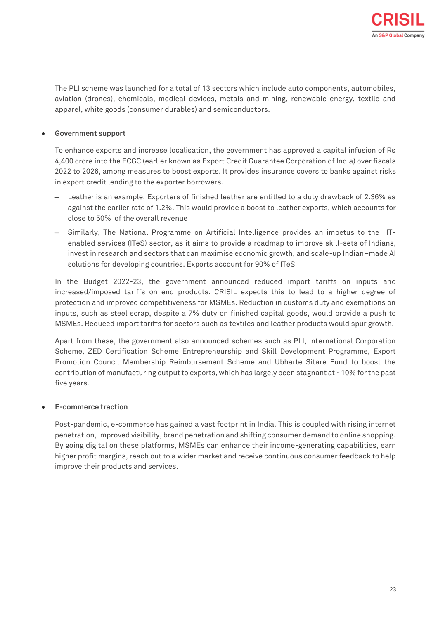The PLI scheme was launched for a total of 13 sectors which include auto components, automobiles, aviation (drones), chemicals, medical devices, metals and mining, renewable energy, textile and apparel, white goods (consumer durables) and semiconductors.

## • **Government support**

To enhance exports and increase localisation, the government has approved a capital infusion of Rs 4,400 crore into the ECGC (earlier known as Export Credit Guarantee Corporation of India) over fiscals 2022 to 2026, among measures to boost exports. It provides insurance covers to banks against risks in export credit lending to the exporter borrowers.

- ‒ Leather is an example. Exporters of finished leather are entitled to a duty drawback of 2.36% as against the earlier rate of 1.2%. This would provide a boost to leather exports, which accounts for close to 50% of the overall revenue
- ‒ Similarly, The National Programme on Artificial Intelligence provides an impetus to the ITenabled services (ITeS) sector, as it aims to provide a roadmap to improve skill-sets of Indians, invest in research and sectors that can maximise economic growth, and scale-up Indian–made AI solutions for developing countries. Exports account for 90% of ITeS

In the Budget 2022-23, the government announced reduced import tariffs on inputs and increased/imposed tariffs on end products. CRISIL expects this to lead to a higher degree of protection and improved competitiveness for MSMEs. Reduction in customs duty and exemptions on inputs, such as steel scrap, despite a 7% duty on finished capital goods, would provide a push to MSMEs. Reduced import tariffs for sectors such as textiles and leather products would spur growth.

Apart from these, the government also announced schemes such as PLI, International Corporation Scheme, ZED Certification Scheme Entrepreneurship and Skill Development Programme, Export Promotion Council Membership Reimbursement Scheme and Ubharte Sitare Fund to boost the contribution of manufacturing output to exports, which has largely been stagnant at ~10% for the past five years.

## • **E-commerce traction**

Post-pandemic, e-commerce has gained a vast footprint in India. This is coupled with rising internet penetration, improved visibility, brand penetration and shifting consumer demand to online shopping. By going digital on these platforms, MSMEs can enhance their income-generating capabilities, earn higher profit margins, reach out to a wider market and receive continuous consumer feedback to help improve their products and services.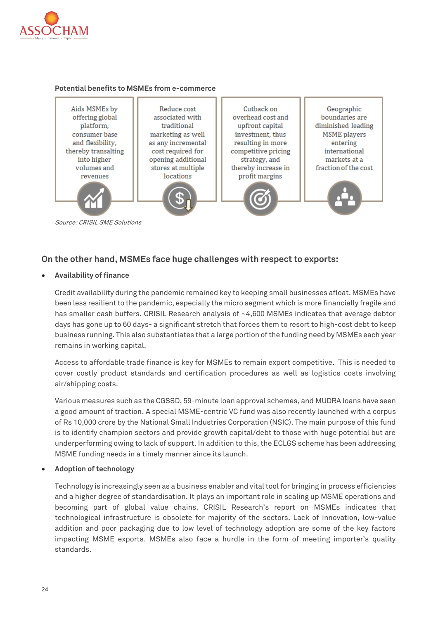

#### **Potential benefits to MSMEs from e-commerce**



## **On the other hand, MSMEs face huge challenges with respect to exports:**

• **Availability of finance**

Credit availability during the pandemic remained key to keeping small businesses afloat. MSMEs have been less resilient to the pandemic, especially the micro segment which is more financially fragile and has smaller cash buffers. CRISIL Research analysis of ~4,600 MSMEs indicates that average debtor days has gone up to 60 days- a significant stretch that forces them to resort to high-cost debt to keep business running. This also substantiates that a large portion of the funding need by MSMEs each year remains in working capital.

Access to affordable trade finance is key for MSMEs to remain export competitive. This is needed to cover costly product standards and certification procedures as well as logistics costs involving air/shipping costs.

Various measures such as the CGSSD, 59-minute loan approval schemes, and MUDRA loans have seen a good amount of traction. A special MSME-centric VC fund was also recently launched with a corpus of Rs 10,000 crore by the National Small Industries Corporation (NSIC). The main purpose of this fund is to identify champion sectors and provide growth capital/debt to those with huge potential but are underperforming owing to lack of support. In addition to this, the ECLGS scheme has been addressing MSME funding needs in a timely manner since its launch.

## • **Adoption of technology**

Technology is increasingly seen as a business enabler and vital tool for bringing in process efficiencies and a higher degree of standardisation. It plays an important role in scaling up MSME operations and becoming part of global value chains. CRISIL Research's report on MSMEs indicates that technological infrastructure is obsolete for majority of the sectors. Lack of innovation, low-value addition and poor packaging due to low level of technology adoption are some of the key factors impacting MSME exports. MSMEs also face a hurdle in the form of meeting importer's quality standards.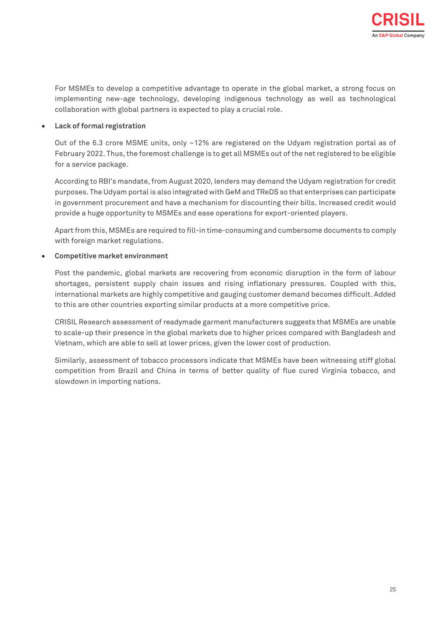For MSMEs to develop a competitive advantage to operate in the global market, a strong focus on implementing new-age technology, developing indigenous technology as well as technological collaboration with global partners is expected to play a crucial role.

## • **Lack of formal registration**

Out of the 6.3 crore MSME units, only ~12% are registered on the Udyam registration portal as of February 2022. Thus, the foremost challenge is to get all MSMEs out of the net registered to be eligible for a service package.

According to RBI's mandate, from August 2020, lenders may demand the Udyam registration for credit purposes. The Udyam portal is also integrated with GeM and TReDS so that enterprises can participate in government procurement and have a mechanism for discounting their bills. Increased credit would provide a huge opportunity to MSMEs and ease operations for export-oriented players.

Apart from this, MSMEs are required to fill-in time-consuming and cumbersome documents to comply with foreign market regulations.

## • **Competitive market environment**

Post the pandemic, global markets are recovering from economic disruption in the form of labour shortages, persistent supply chain issues and rising inflationary pressures. Coupled with this, international markets are highly competitive and gauging customer demand becomes difficult. Added to this are other countries exporting similar products at a more competitive price.

CRISIL Research assessment of readymade garment manufacturers suggests that MSMEs are unable to scale-up their presence in the global markets due to higher prices compared with Bangladesh and Vietnam, which are able to sell at lower prices, given the lower cost of production.

Similarly, assessment of tobacco processors indicate that MSMEs have been witnessing stiff global competition from Brazil and China in terms of better quality of flue cured Virginia tobacco, and slowdown in importing nations.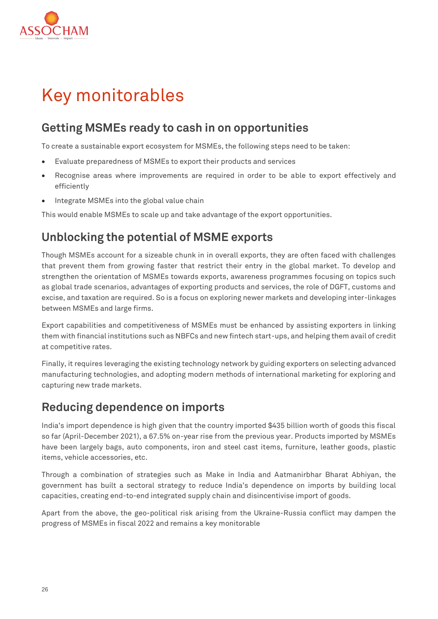

# <span id="page-25-0"></span>Key monitorables

## **Getting MSMEs ready to cash in on opportunities**

To create a sustainable export ecosystem for MSMEs, the following steps need to be taken:

- Evaluate preparedness of MSMEs to export their products and services
- Recognise areas where improvements are required in order to be able to export effectively and efficiently
- Integrate MSMEs into the global value chain

This would enable MSMEs to scale up and take advantage of the export opportunities.

## **Unblocking the potential of MSME exports**

Though MSMEs account for a sizeable chunk in in overall exports, they are often faced with challenges that prevent them from growing faster that restrict their entry in the global market. To develop and strengthen the orientation of MSMEs towards exports, awareness programmes focusing on topics such as global trade scenarios, advantages of exporting products and services, the role of DGFT, customs and excise, and taxation are required. So is a focus on exploring newer markets and developing inter-linkages between MSMEs and large firms.

Export capabilities and competitiveness of MSMEs must be enhanced by assisting exporters in linking them with financial institutions such as NBFCs and new fintech start-ups, and helping them avail of credit at competitive rates.

Finally, it requires leveraging the existing technology network by guiding exporters on selecting advanced manufacturing technologies, and adopting modern methods of international marketing for exploring and capturing new trade markets.

## **Reducing dependence on imports**

India's import dependence is high given that the country imported \$435 billion worth of goods this fiscal so far (April-December 2021), a 67.5% on-year rise from the previous year. Products imported by MSMEs have been largely bags, auto components, iron and steel cast items, furniture, leather goods, plastic items, vehicle accessories, etc.

Through a combination of strategies such as Make in India and Aatmanirbhar Bharat Abhiyan, the government has built a sectoral strategy to reduce India's dependence on imports by building local capacities, creating end-to-end integrated supply chain and disincentivise import of goods.

Apart from the above, the geo-political risk arising from the Ukraine-Russia conflict may dampen the progress of MSMEs in fiscal 2022 and remains a key monitorable